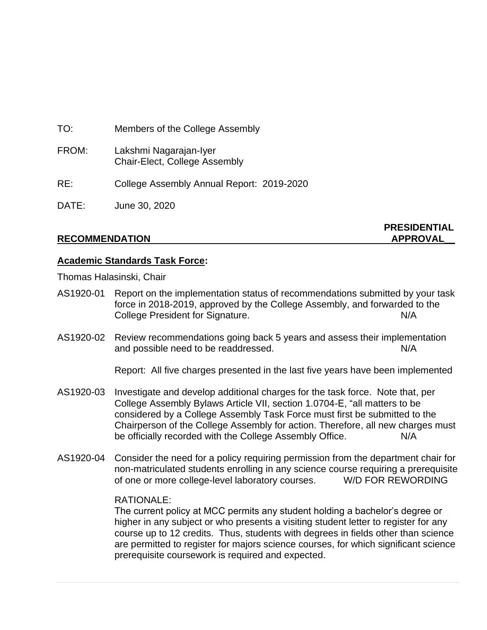| TO:   | Members of the College Assembly                         |
|-------|---------------------------------------------------------|
| FROM: | Lakshmi Nagarajan-Iyer<br>Chair-Elect, College Assembly |
| RE:   | College Assembly Annual Report: 2019-2020               |
| DATE: | June 30, 2020                                           |

# **PRESIDENTIAL**

# **Academic Standards Task Force:**

Thomas Halasinski, Chair

- AS1920-01 Report on the implementation status of recommendations submitted by your task force in 2018-2019, approved by the College Assembly, and forwarded to the College President for Signature. N/A
- AS1920-02 Review recommendations going back 5 years and assess their implementation and possible need to be readdressed. N/A

Report: All five charges presented in the last five years have been implemented

- AS1920-03 Investigate and develop additional charges for the task force. Note that, per College Assembly Bylaws Article VII, section 1.0704-E, "all matters to be considered by a College Assembly Task Force must first be submitted to the Chairperson of the College Assembly for action. Therefore, all new charges must be officially recorded with the College Assembly Office. N/A
- AS1920-04 Consider the need for a policy requiring permission from the department chair for non-matriculated students enrolling in any science course requiring a prerequisite of one or more college-level laboratory courses. W/D FOR REWORDING

## RATIONALE:

The current policy at MCC permits any student holding a bachelor's degree or higher in any subject or who presents a visiting student letter to register for any course up to 12 credits. Thus, students with degrees in fields other than science are permitted to register for majors science courses, for which significant science prerequisite coursework is required and expected.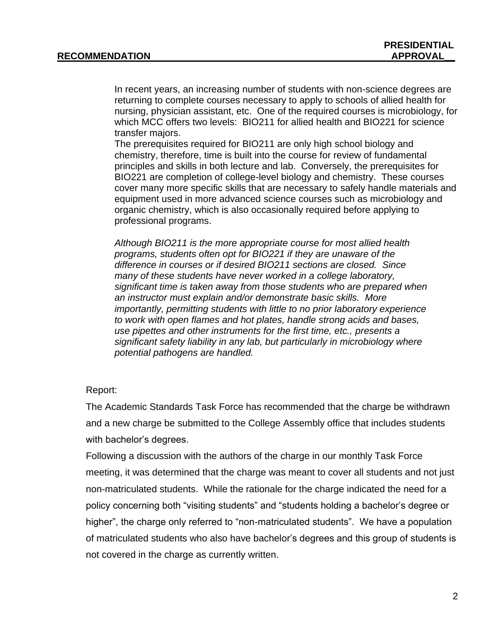In recent years, an increasing number of students with non-science degrees are returning to complete courses necessary to apply to schools of allied health for nursing, physician assistant, etc. One of the required courses is microbiology, for which MCC offers two levels: BIO211 for allied health and BIO221 for science transfer majors.

The prerequisites required for BIO211 are only high school biology and chemistry, therefore, time is built into the course for review of fundamental principles and skills in both lecture and lab. Conversely, the prerequisites for BIO221 are completion of college-level biology and chemistry. These courses cover many more specific skills that are necessary to safely handle materials and equipment used in more advanced science courses such as microbiology and organic chemistry, which is also occasionally required before applying to professional programs.

*Although BIO211 is the more appropriate course for most allied health programs, students often opt for BIO221 if they are unaware of the difference in courses or if desired BIO211 sections are closed. Since many of these students have never worked in a college laboratory, significant time is taken away from those students who are prepared when an instructor must explain and/or demonstrate basic skills. More importantly, permitting students with little to no prior laboratory experience to work with open flames and hot plates, handle strong acids and bases, use pipettes and other instruments for the first time, etc., presents a significant safety liability in any lab, but particularly in microbiology where potential pathogens are handled.*

## Report:

The Academic Standards Task Force has recommended that the charge be withdrawn and a new charge be submitted to the College Assembly office that includes students with bachelor's degrees.

Following a discussion with the authors of the charge in our monthly Task Force meeting, it was determined that the charge was meant to cover all students and not just non-matriculated students. While the rationale for the charge indicated the need for a policy concerning both "visiting students" and "students holding a bachelor's degree or higher", the charge only referred to "non-matriculated students". We have a population of matriculated students who also have bachelor's degrees and this group of students is not covered in the charge as currently written.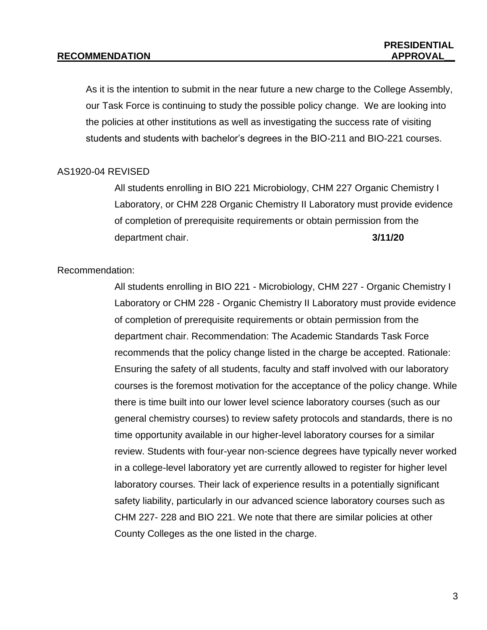As it is the intention to submit in the near future a new charge to the College Assembly, our Task Force is continuing to study the possible policy change. We are looking into the policies at other institutions as well as investigating the success rate of visiting students and students with bachelor's degrees in the BIO-211 and BIO-221 courses.

## AS1920-04 REVISED

All students enrolling in BIO 221 Microbiology, CHM 227 Organic Chemistry I Laboratory, or CHM 228 Organic Chemistry II Laboratory must provide evidence of completion of prerequisite requirements or obtain permission from the department chair. **3/11/20**

### Recommendation:

All students enrolling in BIO 221 - Microbiology, CHM 227 - Organic Chemistry I Laboratory or CHM 228 - Organic Chemistry II Laboratory must provide evidence of completion of prerequisite requirements or obtain permission from the department chair. Recommendation: The Academic Standards Task Force recommends that the policy change listed in the charge be accepted. Rationale: Ensuring the safety of all students, faculty and staff involved with our laboratory courses is the foremost motivation for the acceptance of the policy change. While there is time built into our lower level science laboratory courses (such as our general chemistry courses) to review safety protocols and standards, there is no time opportunity available in our higher-level laboratory courses for a similar review. Students with four-year non-science degrees have typically never worked in a college-level laboratory yet are currently allowed to register for higher level laboratory courses. Their lack of experience results in a potentially significant safety liability, particularly in our advanced science laboratory courses such as CHM 227- 228 and BIO 221. We note that there are similar policies at other County Colleges as the one listed in the charge.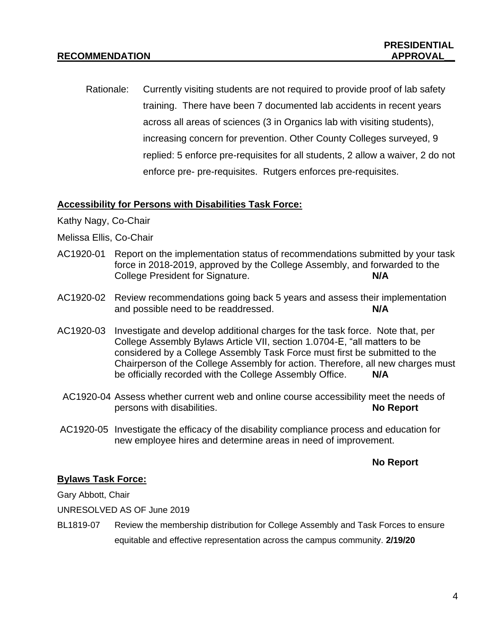Rationale: Currently visiting students are not required to provide proof of lab safety training. There have been 7 documented lab accidents in recent years across all areas of sciences (3 in Organics lab with visiting students), increasing concern for prevention. Other County Colleges surveyed, 9 replied: 5 enforce pre-requisites for all students, 2 allow a waiver, 2 do not enforce pre- pre-requisites. Rutgers enforces pre-requisites.

## **Accessibility for Persons with Disabilities Task Force:**

- Kathy Nagy, Co-Chair
- Melissa Ellis, Co-Chair
- AC1920-01 Report on the implementation status of recommendations submitted by your task force in 2018-2019, approved by the College Assembly, and forwarded to the College President for Signature. **N/A**
- AC1920-02 Review recommendations going back 5 years and assess their implementation and possible need to be readdressed. **N/A**
- AC1920-03 Investigate and develop additional charges for the task force. Note that, per College Assembly Bylaws Article VII, section 1.0704-E, "all matters to be considered by a College Assembly Task Force must first be submitted to the Chairperson of the College Assembly for action. Therefore, all new charges must be officially recorded with the College Assembly Office. **N/A**
- AC1920-04 Assess whether current web and online course accessibility meet the needs of persons with disabilities. **No Report**
- AC1920-05 Investigate the efficacy of the disability compliance process and education for new employee hires and determine areas in need of improvement.

## **No Report**

## **Bylaws Task Force:**

Gary Abbott, Chair

UNRESOLVED AS OF June 2019

BL1819-07 Review the membership distribution for College Assembly and Task Forces to ensure equitable and effective representation across the campus community. **2/19/20**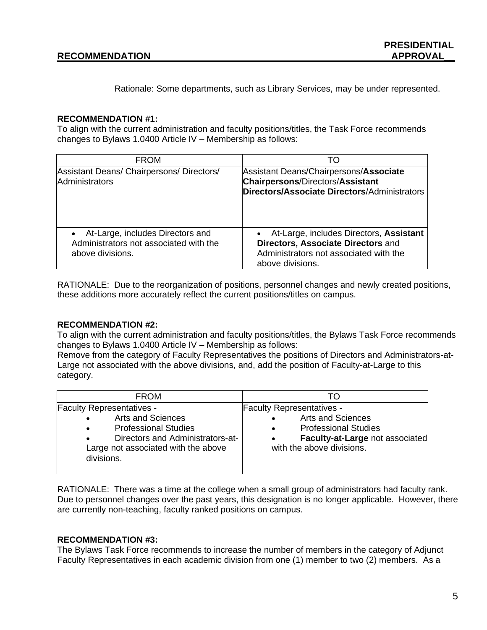Rationale: Some departments, such as Library Services, may be under represented.

### **RECOMMENDATION #1:**

To align with the current administration and faculty positions/titles, the Task Force recommends changes to Bylaws 1.0400 Article IV – Membership as follows:

| <b>FROM</b>                                                                                      | TΟ                                                                                                                                            |
|--------------------------------------------------------------------------------------------------|-----------------------------------------------------------------------------------------------------------------------------------------------|
| Assistant Deans/ Chairpersons/ Directors/<br>Administrators                                      | Assistant Deans/Chairpersons/Associate<br><b>Chairpersons/Directors/Assistant</b><br>Directors/Associate Directors/Administrators             |
| • At-Large, includes Directors and<br>Administrators not associated with the<br>above divisions. | • At-Large, includes Directors, Assistant<br>Directors, Associate Directors and<br>Administrators not associated with the<br>above divisions. |

RATIONALE: Due to the reorganization of positions, personnel changes and newly created positions, these additions more accurately reflect the current positions/titles on campus.

## **RECOMMENDATION #2:**

To align with the current administration and faculty positions/titles, the Bylaws Task Force recommends changes to Bylaws 1.0400 Article IV – Membership as follows:

Remove from the category of Faculty Representatives the positions of Directors and Administrators-at-Large not associated with the above divisions, and, add the position of Faculty-at-Large to this category.

| <b>FROM</b>                         |                                  |
|-------------------------------------|----------------------------------|
| <b>Faculty Representatives -</b>    | <b>Faculty Representatives -</b> |
| <b>Arts and Sciences</b>            | <b>Arts and Sciences</b>         |
| <b>Professional Studies</b>         | $\bullet$                        |
| $\bullet$                           | <b>Professional Studies</b>      |
| Directors and Administrators-at-    | $\bullet$                        |
| $\bullet$                           | Faculty-at-Large not associated  |
| Large not associated with the above | $\bullet$                        |
| divisions.                          | with the above divisions.        |

RATIONALE: There was a time at the college when a small group of administrators had faculty rank. Due to personnel changes over the past years, this designation is no longer applicable. However, there are currently non-teaching, faculty ranked positions on campus.

### **RECOMMENDATION #3:**

The Bylaws Task Force recommends to increase the number of members in the category of Adjunct Faculty Representatives in each academic division from one (1) member to two (2) members. As a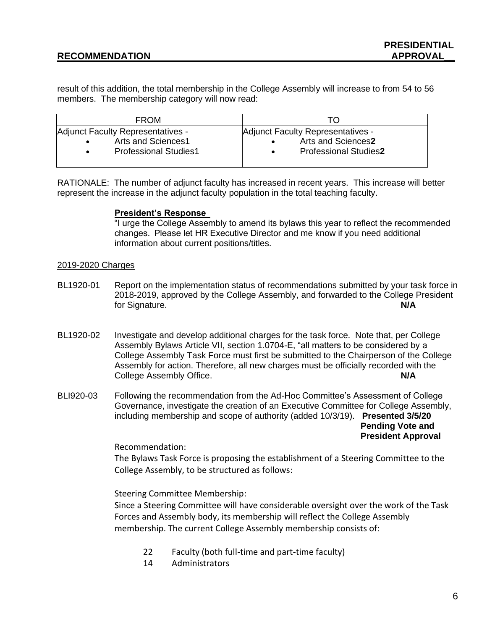result of this addition, the total membership in the College Assembly will increase to from 54 to 56 members. The membership category will now read:

| <b>FROM</b>                                                                                                       |                                                                                                      |
|-------------------------------------------------------------------------------------------------------------------|------------------------------------------------------------------------------------------------------|
| Adjunct Faculty Representatives -<br>Arts and Sciences1<br>$\bullet$<br><b>Professional Studies1</b><br>$\bullet$ | Adjunct Faculty Representatives -<br>Arts and Sciences2<br><b>Professional Studies2</b><br>$\bullet$ |

RATIONALE: The number of adjunct faculty has increased in recent years. This increase will better represent the increase in the adjunct faculty population in the total teaching faculty.

### **President's Response**

"I urge the College Assembly to amend its bylaws this year to reflect the recommended changes.  Please let HR Executive Director and me know if you need additional information about current positions/titles.

### 2019-2020 Charges

- BL1920-01 Report on the implementation status of recommendations submitted by your task force in 2018-2019, approved by the College Assembly, and forwarded to the College President for Signature. **N/A**
- BL1920-02 Investigate and develop additional charges for the task force. Note that, per College Assembly Bylaws Article VII, section 1.0704-E, "all matters to be considered by a College Assembly Task Force must first be submitted to the Chairperson of the College Assembly for action. Therefore, all new charges must be officially recorded with the College Assembly Office. **N/A**
- BLI920-03 Following the recommendation from the Ad-Hoc Committee's Assessment of College Governance, investigate the creation of an Executive Committee for College Assembly, including membership and scope of authority (added 10/3/19). **Presented 3/5/20 Pending Vote and President Approval**

Recommendation:

The Bylaws Task Force is proposing the establishment of a Steering Committee to the College Assembly, to be structured as follows:

Steering Committee Membership:

Since a Steering Committee will have considerable oversight over the work of the Task Forces and Assembly body, its membership will reflect the College Assembly membership. The current College Assembly membership consists of:

- 22 Faculty (both full-time and part-time faculty)
- 14 Administrators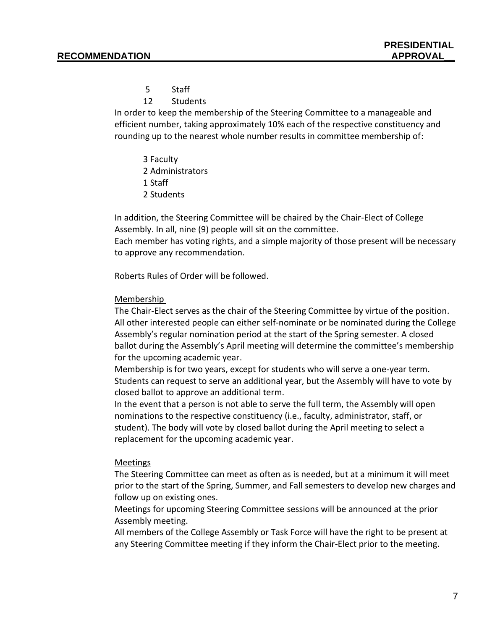- 5 Staff
- 12 Students

In order to keep the membership of the Steering Committee to a manageable and efficient number, taking approximately 10% each of the respective constituency and rounding up to the nearest whole number results in committee membership of:

3 Faculty 2 Administrators 1 Staff 2 Students

In addition, the Steering Committee will be chaired by the Chair-Elect of College Assembly. In all, nine (9) people will sit on the committee.

Each member has voting rights, and a simple majority of those present will be necessary to approve any recommendation.

Roberts Rules of Order will be followed.

### Membership

The Chair-Elect serves as the chair of the Steering Committee by virtue of the position. All other interested people can either self-nominate or be nominated during the College Assembly's regular nomination period at the start of the Spring semester. A closed ballot during the Assembly's April meeting will determine the committee's membership for the upcoming academic year.

Membership is for two years, except for students who will serve a one-year term. Students can request to serve an additional year, but the Assembly will have to vote by closed ballot to approve an additional term.

In the event that a person is not able to serve the full term, the Assembly will open nominations to the respective constituency (i.e., faculty, administrator, staff, or student). The body will vote by closed ballot during the April meeting to select a replacement for the upcoming academic year.

### Meetings

The Steering Committee can meet as often as is needed, but at a minimum it will meet prior to the start of the Spring, Summer, and Fall semesters to develop new charges and follow up on existing ones.

Meetings for upcoming Steering Committee sessions will be announced at the prior Assembly meeting.

All members of the College Assembly or Task Force will have the right to be present at any Steering Committee meeting if they inform the Chair-Elect prior to the meeting.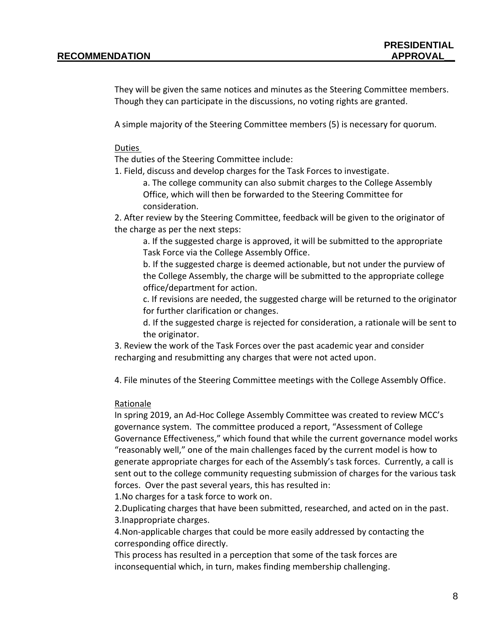They will be given the same notices and minutes as the Steering Committee members. Though they can participate in the discussions, no voting rights are granted.

A simple majority of the Steering Committee members (5) is necessary for quorum.

### Duties

The duties of the Steering Committee include:

1. Field, discuss and develop charges for the Task Forces to investigate.

a. The college community can also submit charges to the College Assembly Office, which will then be forwarded to the Steering Committee for consideration.

2. After review by the Steering Committee, feedback will be given to the originator of the charge as per the next steps:

a. If the suggested charge is approved, it will be submitted to the appropriate Task Force via the College Assembly Office.

b. If the suggested charge is deemed actionable, but not under the purview of the College Assembly, the charge will be submitted to the appropriate college office/department for action.

c. If revisions are needed, the suggested charge will be returned to the originator for further clarification or changes.

d. If the suggested charge is rejected for consideration, a rationale will be sent to the originator.

3. Review the work of the Task Forces over the past academic year and consider recharging and resubmitting any charges that were not acted upon.

4. File minutes of the Steering Committee meetings with the College Assembly Office.

### Rationale

In spring 2019, an Ad-Hoc College Assembly Committee was created to review MCC's governance system. The committee produced a report, "Assessment of College Governance Effectiveness," which found that while the current governance model works "reasonably well," one of the main challenges faced by the current model is how to generate appropriate charges for each of the Assembly's task forces. Currently, a call is sent out to the college community requesting submission of charges for the various task forces. Over the past several years, this has resulted in:

1.No charges for a task force to work on.

2.Duplicating charges that have been submitted, researched, and acted on in the past. 3.Inappropriate charges.

4.Non-applicable charges that could be more easily addressed by contacting the corresponding office directly.

This process has resulted in a perception that some of the task forces are inconsequential which, in turn, makes finding membership challenging.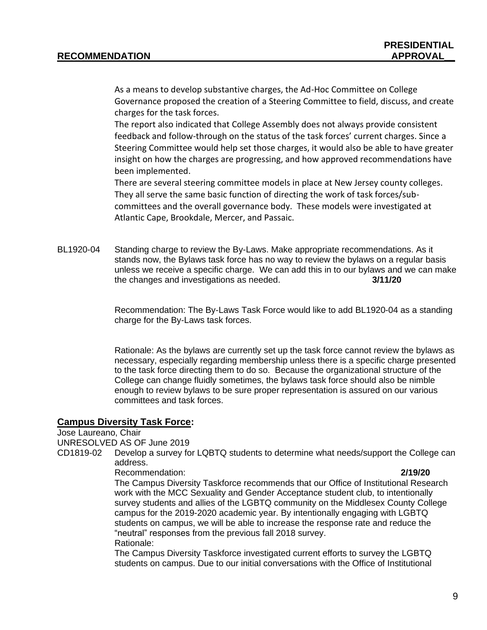As a means to develop substantive charges, the Ad-Hoc Committee on College Governance proposed the creation of a Steering Committee to field, discuss, and create charges for the task forces.

The report also indicated that College Assembly does not always provide consistent feedback and follow-through on the status of the task forces' current charges. Since a Steering Committee would help set those charges, it would also be able to have greater insight on how the charges are progressing, and how approved recommendations have been implemented.

There are several steering committee models in place at New Jersey county colleges. They all serve the same basic function of directing the work of task forces/subcommittees and the overall governance body. These models were investigated at Atlantic Cape, Brookdale, Mercer, and Passaic.

BL1920-04 Standing charge to review the By-Laws. Make appropriate recommendations. As it stands now, the Bylaws task force has no way to review the bylaws on a regular basis unless we receive a specific charge. We can add this in to our bylaws and we can make the changes and investigations as needed. **3/11/20**

> Recommendation: The By-Laws Task Force would like to add BL1920-04 as a standing charge for the By-Laws task forces.

Rationale: As the bylaws are currently set up the task force cannot review the bylaws as necessary, especially regarding membership unless there is a specific charge presented to the task force directing them to do so. Because the organizational structure of the College can change fluidly sometimes, the bylaws task force should also be nimble enough to review bylaws to be sure proper representation is assured on our various committees and task forces.

### **Campus Diversity Task Force:**

Jose Laureano, Chair

UNRESOLVED AS OF June 2019

CD1819-02 Develop a survey for LQBTQ students to determine what needs/support the College can address.

Recommendation: **2/19/20**

The Campus Diversity Taskforce recommends that our Office of Institutional Research work with the MCC Sexuality and Gender Acceptance student club, to intentionally survey students and allies of the LGBTQ community on the Middlesex County College campus for the 2019-2020 academic year. By intentionally engaging with LGBTQ students on campus, we will be able to increase the response rate and reduce the "neutral" responses from the previous fall 2018 survey. Rationale:

The Campus Diversity Taskforce investigated current efforts to survey the LGBTQ students on campus. Due to our initial conversations with the Office of Institutional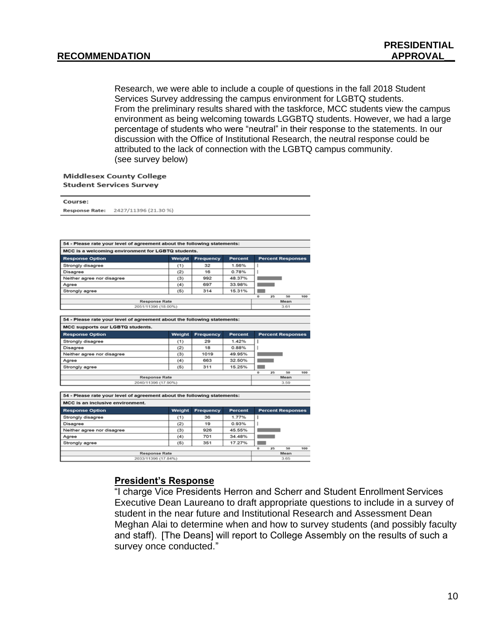Research, we were able to include a couple of questions in the fall 2018 Student Services Survey addressing the campus environment for LGBTQ students. From the preliminary results shared with the taskforce, MCC students view the campus environment as being welcoming towards LGGBTQ students. However, we had a large percentage of students who were "neutral" in their response to the statements. In our discussion with the Office of Institutional Research, the neutral response could be attributed to the lack of connection with the LGBTQ campus community. (see survey below)

### **Middlesex County College**  $\cdots$

| Course:                                                                  |                                             |                  |                |                                                                                                                                                                                                                                      |                          |     |
|--------------------------------------------------------------------------|---------------------------------------------|------------------|----------------|--------------------------------------------------------------------------------------------------------------------------------------------------------------------------------------------------------------------------------------|--------------------------|-----|
| 2427/11396 (21.30 %)<br><b>Response Rate:</b>                            |                                             |                  |                |                                                                                                                                                                                                                                      |                          |     |
|                                                                          |                                             |                  |                |                                                                                                                                                                                                                                      |                          |     |
|                                                                          |                                             |                  |                |                                                                                                                                                                                                                                      |                          |     |
|                                                                          |                                             |                  |                |                                                                                                                                                                                                                                      |                          |     |
|                                                                          |                                             |                  |                |                                                                                                                                                                                                                                      |                          |     |
| 54 - Please rate your level of agreement about the following statements: |                                             |                  |                |                                                                                                                                                                                                                                      |                          |     |
| MCC is a welcoming environment for LGBTQ students.                       |                                             |                  |                |                                                                                                                                                                                                                                      |                          |     |
| <b>Response Option</b>                                                   | Weight                                      | <b>Frequency</b> | Percent        |                                                                                                                                                                                                                                      | <b>Percent Responses</b> |     |
| Strongly disagree                                                        | (1)                                         | 32               | 1.56%          | ı                                                                                                                                                                                                                                    |                          |     |
| Disagree                                                                 | (2)                                         | 16               | 0.78%          | ı                                                                                                                                                                                                                                    |                          |     |
| Neither agree nor disagree                                               | (3)                                         | 992              | 48.37%         |                                                                                                                                                                                                                                      |                          |     |
| Agree                                                                    | (4)                                         | 697              | 33.98%         |                                                                                                                                                                                                                                      |                          |     |
| Strongly agree                                                           | (5)                                         | 314              | 15.31%         | <b>The Contract of the Contract of the Contract of the Contract of the Contract of the Contract of the Contract of the Contract of the Contract of the Contract of the Contract of the Contract of The Contract of The Contract </b> |                          |     |
|                                                                          |                                             |                  |                | ō                                                                                                                                                                                                                                    | 50<br>25                 | 100 |
|                                                                          | <b>Response Rate</b><br>2051/11396 (18.00%) |                  |                |                                                                                                                                                                                                                                      | Mean<br>3.61             |     |
|                                                                          |                                             |                  |                |                                                                                                                                                                                                                                      |                          |     |
| 54 - Please rate your level of agreement about the following statements: |                                             |                  |                |                                                                                                                                                                                                                                      |                          |     |
| MCC supports our LGBTQ students.                                         |                                             |                  |                |                                                                                                                                                                                                                                      |                          |     |
| <b>Response Option</b>                                                   | Weight                                      | Frequency        | Percent        |                                                                                                                                                                                                                                      | <b>Percent Responses</b> |     |
| Strongly disagree                                                        |                                             | 29               | 1.42%          | ı                                                                                                                                                                                                                                    |                          |     |
| Disagree                                                                 | (1)<br>(2)                                  | 18               | 0.88%          |                                                                                                                                                                                                                                      |                          |     |
| Neither agree nor disagree                                               | (3)                                         | 1019             | 49.95%         |                                                                                                                                                                                                                                      |                          |     |
| Agree                                                                    | (4)                                         | 663              | 32.50%         |                                                                                                                                                                                                                                      |                          |     |
| Strongly agree                                                           | (5)                                         | 311              | 15.25%         | <b>College</b>                                                                                                                                                                                                                       |                          |     |
|                                                                          |                                             |                  |                | o                                                                                                                                                                                                                                    | 25<br>50                 | 100 |
|                                                                          | <b>Response Rate</b>                        |                  |                |                                                                                                                                                                                                                                      | Mean                     |     |
|                                                                          | 2040/11396 (17.90%)                         |                  |                |                                                                                                                                                                                                                                      | 3.59                     |     |
|                                                                          |                                             |                  |                |                                                                                                                                                                                                                                      |                          |     |
| 54 - Please rate your level of agreement about the following statements: |                                             |                  |                |                                                                                                                                                                                                                                      |                          |     |
| MCC is an inclusive environment.                                         |                                             |                  |                |                                                                                                                                                                                                                                      |                          |     |
|                                                                          | Weight                                      | <b>Frequency</b> | <b>Percent</b> |                                                                                                                                                                                                                                      | <b>Percent Responses</b> |     |
| <b>Response Option</b>                                                   |                                             | 36               | 1.77%          | ı                                                                                                                                                                                                                                    |                          |     |
| Strongly disagree                                                        | (1)                                         |                  | 0.93%          | ı                                                                                                                                                                                                                                    |                          |     |
|                                                                          | (2)                                         | 19               |                |                                                                                                                                                                                                                                      |                          |     |
| Disagree<br>Neither agree nor disagree                                   | (3)                                         | 926              | 45.55%         |                                                                                                                                                                                                                                      |                          |     |
| Agree                                                                    | (4)                                         | 701              | 34.48%         | <b>Contract Contract</b>                                                                                                                                                                                                             |                          |     |
| Strongly agree                                                           | (5)                                         | 351              | 17.27%         |                                                                                                                                                                                                                                      |                          |     |
|                                                                          |                                             |                  |                | ۰                                                                                                                                                                                                                                    | 25<br>50                 |     |
|                                                                          | <b>Response Rate</b><br>2033/11396 (17.84%) |                  |                |                                                                                                                                                                                                                                      | Mean<br>3.65             | 100 |

# **President's Response**

"I charge Vice Presidents Herron and Scherr and Student Enrollment Services Executive Dean Laureano to draft appropriate questions to include in a survey of student in the near future and Institutional Research and Assessment Dean Meghan Alai to determine when and how to survey students (and possibly faculty and staff).  [The Deans] will report to College Assembly on the results of such a survey once conducted."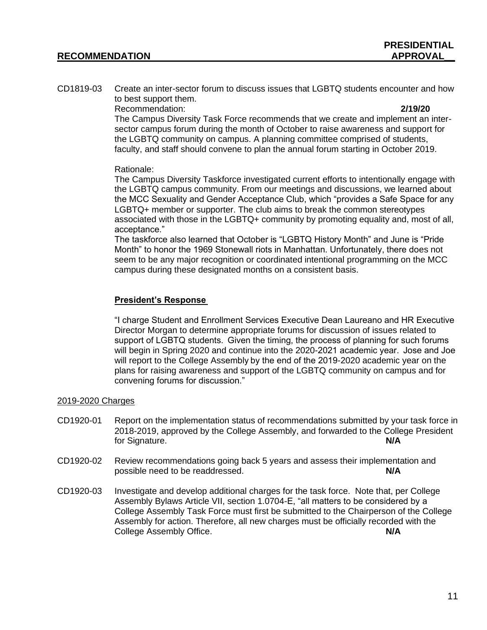CD1819-03 Create an inter-sector forum to discuss issues that LGBTQ students encounter and how to best support them.

Recommendation: **2/19/20**

The Campus Diversity Task Force recommends that we create and implement an intersector campus forum during the month of October to raise awareness and support for the LGBTQ community on campus. A planning committee comprised of students, faculty, and staff should convene to plan the annual forum starting in October 2019.

### Rationale:

The Campus Diversity Taskforce investigated current efforts to intentionally engage with the LGBTQ campus community. From our meetings and discussions, we learned about the MCC Sexuality and Gender Acceptance Club, which "provides a Safe Space for any LGBTQ+ member or supporter. The club aims to break the common stereotypes associated with those in the LGBTQ+ community by promoting equality and, most of all, acceptance."

The taskforce also learned that October is "LGBTQ History Month" and June is "Pride Month" to honor the 1969 Stonewall riots in Manhattan. Unfortunately, there does not seem to be any major recognition or coordinated intentional programming on the MCC campus during these designated months on a consistent basis.

# **President's Response**

"I charge Student and Enrollment Services Executive Dean Laureano and HR Executive Director Morgan to determine appropriate forums for discussion of issues related to support of LGBTQ students.  Given the timing, the process of planning for such forums will begin in Spring 2020 and continue into the 2020-2021 academic year.  Jose and Joe will report to the College Assembly by the end of the 2019-2020 academic year on the plans for raising awareness and support of the LGBTQ community on campus and for convening forums for discussion." 

## 2019-2020 Charges

- CD1920-01 Report on the implementation status of recommendations submitted by your task force in 2018-2019, approved by the College Assembly, and forwarded to the College President for Signature. **N/A**
- CD1920-02 Review recommendations going back 5 years and assess their implementation and possible need to be readdressed. **N/A**
- CD1920-03 Investigate and develop additional charges for the task force. Note that, per College Assembly Bylaws Article VII, section 1.0704-E, "all matters to be considered by a College Assembly Task Force must first be submitted to the Chairperson of the College Assembly for action. Therefore, all new charges must be officially recorded with the College Assembly Office. **N/A**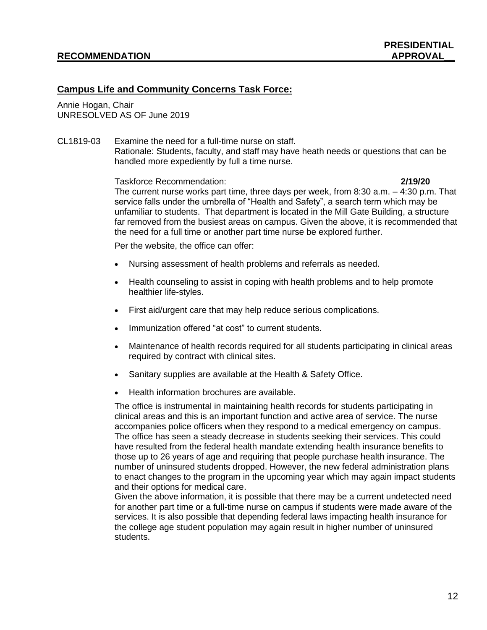# **Campus Life and Community Concerns Task Force:**

Annie Hogan, Chair UNRESOLVED AS OF June 2019

CL1819-03 Examine the need for a full-time nurse on staff. Rationale: Students, faculty, and staff may have heath needs or questions that can be handled more expediently by full a time nurse.

Taskforce Recommendation: **2/19/20**

The current nurse works part time, three days per week, from 8:30 a.m. – 4:30 p.m. That service falls under the umbrella of "Health and Safety", a search term which may be unfamiliar to students. That department is located in the Mill Gate Building, a structure far removed from the busiest areas on campus. Given the above, it is recommended that the need for a full time or another part time nurse be explored further.

Per the website, the office can offer:

- Nursing assessment of health problems and referrals as needed.
- Health counseling to assist in coping with health problems and to help promote healthier life-styles.
- First aid/urgent care that may help reduce serious complications.
- Immunization offered "at cost" to current students.
- Maintenance of health records required for all students participating in clinical areas required by contract with clinical sites.
- Sanitary supplies are available at the Health & Safety Office.
- Health information brochures are available.

The office is instrumental in maintaining health records for students participating in clinical areas and this is an important function and active area of service. The nurse accompanies police officers when they respond to a medical emergency on campus. The office has seen a steady decrease in students seeking their services. This could have resulted from the federal health mandate extending health insurance benefits to those up to 26 years of age and requiring that people purchase health insurance. The number of uninsured students dropped. However, the new federal administration plans to enact changes to the program in the upcoming year which may again impact students and their options for medical care.

Given the above information, it is possible that there may be a current undetected need for another part time or a full-time nurse on campus if students were made aware of the services. It is also possible that depending federal laws impacting health insurance for the college age student population may again result in higher number of uninsured students.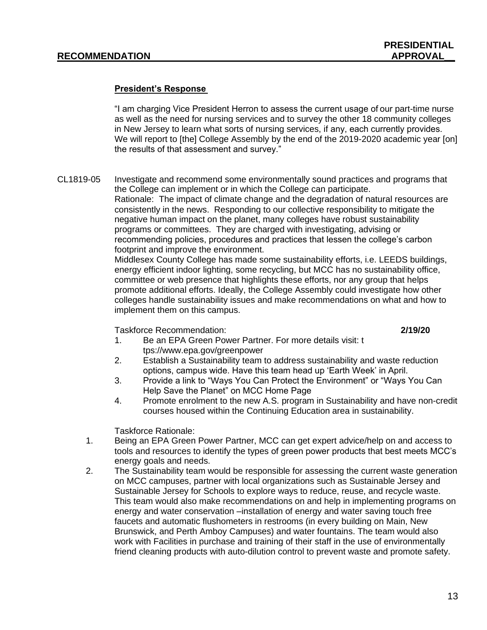### **President's Response**

"I am charging Vice President Herron to assess the current usage of our part-time nurse as well as the need for nursing services and to survey the other 18 community colleges in New Jersey to learn what sorts of nursing services, if any, each currently provides.  We will report to [the] College Assembly by the end of the 2019-2020 academic year [on] the results of that assessment and survey." 

CL1819-05 Investigate and recommend some environmentally sound practices and programs that the College can implement or in which the College can participate. Rationale: The impact of climate change and the degradation of natural resources are consistently in the news. Responding to our collective responsibility to mitigate the negative human impact on the planet, many colleges have robust sustainability programs or committees. They are charged with investigating, advising or recommending policies, procedures and practices that lessen the college's carbon footprint and improve the environment. Middlesex County College has made some sustainability efforts, i.e. LEEDS buildings,

energy efficient indoor lighting, some recycling, but MCC has no sustainability office, committee or web presence that highlights these efforts, nor any group that helps promote additional efforts. Ideally, the College Assembly could investigate how other colleges handle sustainability issues and make recommendations on what and how to implement them on this campus.

Taskforce Recommendation: **2/19/20**

- 1. Be an EPA Green Power Partner. For more details visit: t tps://www.epa.gov/greenpower
- 2. Establish a Sustainability team to address sustainability and waste reduction options, campus wide. Have this team head up 'Earth Week' in April.
- 3. Provide a link to "Ways You Can Protect the Environment" or "Ways You Can Help Save the Planet" on MCC Home Page
- 4. Promote enrolment to the new A.S. program in Sustainability and have non-credit courses housed within the Continuing Education area in sustainability.

Taskforce Rationale:

- 1. Being an EPA Green Power Partner, MCC can get expert advice/help on and access to tools and resources to identify the types of green power products that best meets MCC's energy goals and needs.
- 2. The Sustainability team would be responsible for assessing the current waste generation on MCC campuses, partner with local organizations such as Sustainable Jersey and Sustainable Jersey for Schools to explore ways to reduce, reuse, and recycle waste. This team would also make recommendations on and help in implementing programs on energy and water conservation –installation of energy and water saving touch free faucets and automatic flushometers in restrooms (in every building on Main, New Brunswick, and Perth Amboy Campuses) and water fountains. The team would also work with Facilities in purchase and training of their staff in the use of environmentally friend cleaning products with auto-dilution control to prevent waste and promote safety.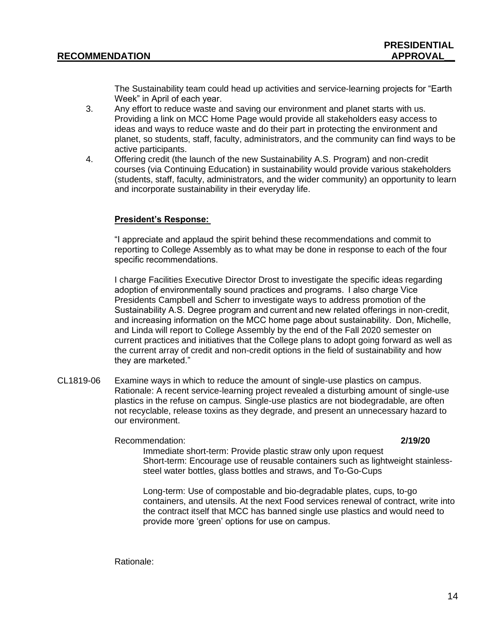The Sustainability team could head up activities and service-learning projects for "Earth Week" in April of each year.

- 3. Any effort to reduce waste and saving our environment and planet starts with us. Providing a link on MCC Home Page would provide all stakeholders easy access to ideas and ways to reduce waste and do their part in protecting the environment and planet, so students, staff, faculty, administrators, and the community can find ways to be active participants.
- 4. Offering credit (the launch of the new Sustainability A.S. Program) and non-credit courses (via Continuing Education) in sustainability would provide various stakeholders (students, staff, faculty, administrators, and the wider community) an opportunity to learn and incorporate sustainability in their everyday life.

## **President's Response:**

"I appreciate and applaud the spirit behind these recommendations and commit to reporting to College Assembly as to what may be done in response to each of the four specific recommendations. 

I charge Facilities Executive Director Drost to investigate the specific ideas regarding adoption of environmentally sound practices and programs.  I also charge Vice Presidents Campbell and Scherr to investigate ways to address promotion of the Sustainability A.S. Degree program and current and new related offerings in non-credit, and increasing information on the MCC home page about sustainability.  Don, Michelle, and Linda will report to College Assembly by the end of the Fall 2020 semester on current practices and initiatives that the College plans to adopt going forward as well as the current array of credit and non-credit options in the field of sustainability and how they are marketed." 

CL1819-06 Examine ways in which to reduce the amount of single-use plastics on campus. Rationale: A recent service-learning project revealed a disturbing amount of single-use plastics in the refuse on campus. Single-use plastics are not biodegradable, are often not recyclable, release toxins as they degrade, and present an unnecessary hazard to our environment.

Recommendation: **2/19/20**

Immediate short-term: Provide plastic straw only upon request Short-term: Encourage use of reusable containers such as lightweight stainlesssteel water bottles, glass bottles and straws, and To-Go-Cups

Long-term: Use of compostable and bio-degradable plates, cups, to-go containers, and utensils. At the next Food services renewal of contract, write into the contract itself that MCC has banned single use plastics and would need to provide more 'green' options for use on campus.

Rationale: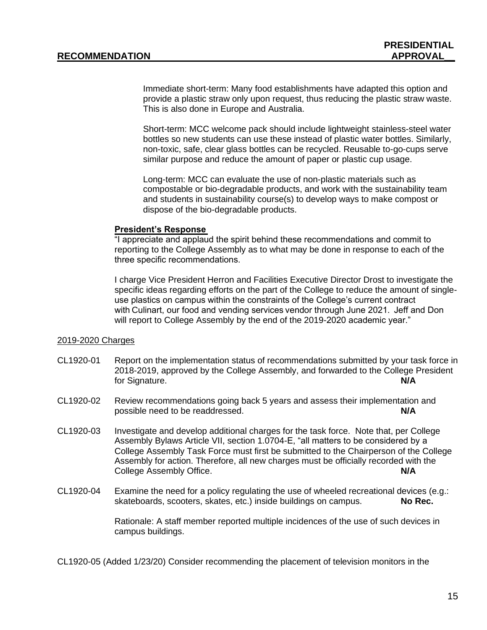Immediate short-term: Many food establishments have adapted this option and provide a plastic straw only upon request, thus reducing the plastic straw waste. This is also done in Europe and Australia.

Short-term: MCC welcome pack should include lightweight stainless-steel water bottles so new students can use these instead of plastic water bottles. Similarly, non-toxic, safe, clear glass bottles can be recycled. Reusable to-go-cups serve similar purpose and reduce the amount of paper or plastic cup usage.

Long-term: MCC can evaluate the use of non-plastic materials such as compostable or bio-degradable products, and work with the sustainability team and students in sustainability course(s) to develop ways to make compost or dispose of the bio-degradable products.

### **President's Response**

"I appreciate and applaud the spirit behind these recommendations and commit to reporting to the College Assembly as to what may be done in response to each of the three specific recommendations. 

I charge Vice President Herron and Facilities Executive Director Drost to investigate the specific ideas regarding efforts on the part of the College to reduce the amount of singleuse plastics on campus within the constraints of the College's current contract with Culinart, our food and vending services vendor through June 2021.  Jeff and Don will report to College Assembly by the end of the 2019-2020 academic year."

### 2019-2020 Charges

- CL1920-01 Report on the implementation status of recommendations submitted by your task force in 2018-2019, approved by the College Assembly, and forwarded to the College President for Signature. **N/A**
- CL1920-02 Review recommendations going back 5 years and assess their implementation and possible need to be readdressed. **N/A**
- CL1920-03 Investigate and develop additional charges for the task force. Note that, per College Assembly Bylaws Article VII, section 1.0704-E, "all matters to be considered by a College Assembly Task Force must first be submitted to the Chairperson of the College Assembly for action. Therefore, all new charges must be officially recorded with the College Assembly Office. **N/A**
- CL1920-04 Examine the need for a policy regulating the use of wheeled recreational devices (e.g.: skateboards, scooters, skates, etc.) inside buildings on campus. **No Rec.**

Rationale: A staff member reported multiple incidences of the use of such devices in campus buildings.

CL1920-05 (Added 1/23/20) Consider recommending the placement of television monitors in the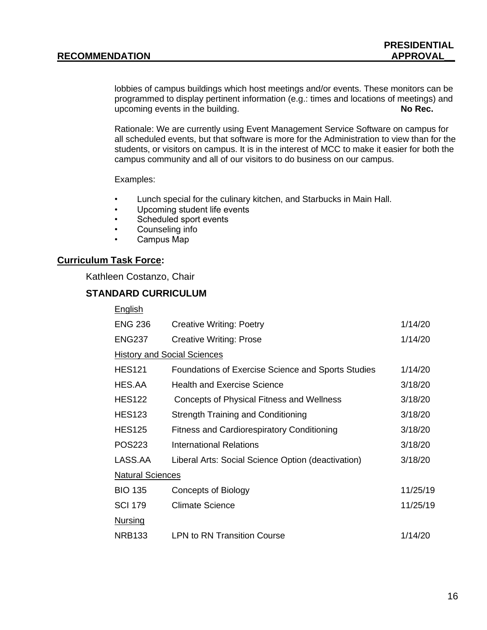lobbies of campus buildings which host meetings and/or events. These monitors can be programmed to display pertinent information (e.g.: times and locations of meetings) and upcoming events in the building. **No Rec.**

Rationale: We are currently using Event Management Service Software on campus for all scheduled events, but that software is more for the Administration to view than for the students, or visitors on campus. It is in the interest of MCC to make it easier for both the campus community and all of our visitors to do business on our campus.

Examples:

- Lunch special for the culinary kitchen, and Starbucks in Main Hall.
- Upcoming student life events
- Scheduled sport events
- Counseling info
- Campus Map

### **Curriculum Task Force:**

Kathleen Costanzo, Chair

# **STANDARD CURRICULUM**

| <b>English</b>                     |                                                    |          |
|------------------------------------|----------------------------------------------------|----------|
| <b>ENG 236</b>                     | <b>Creative Writing: Poetry</b>                    | 1/14/20  |
| <b>ENG237</b>                      | <b>Creative Writing: Prose</b>                     | 1/14/20  |
| <b>History and Social Sciences</b> |                                                    |          |
| <b>HES121</b>                      | Foundations of Exercise Science and Sports Studies | 1/14/20  |
| HES.AA                             | <b>Health and Exercise Science</b>                 | 3/18/20  |
| <b>HES122</b>                      | Concepts of Physical Fitness and Wellness          | 3/18/20  |
| <b>HES123</b>                      | <b>Strength Training and Conditioning</b>          | 3/18/20  |
| <b>HES125</b>                      | <b>Fitness and Cardiorespiratory Conditioning</b>  | 3/18/20  |
| <b>POS223</b>                      | International Relations                            | 3/18/20  |
| LASS.AA                            | Liberal Arts: Social Science Option (deactivation) | 3/18/20  |
| <b>Natural Sciences</b>            |                                                    |          |
| <b>BIO 135</b>                     | Concepts of Biology                                | 11/25/19 |
| <b>SCI 179</b>                     | Climate Science                                    | 11/25/19 |
| <b>Nursing</b>                     |                                                    |          |
| <b>NRB133</b>                      | <b>LPN to RN Transition Course</b>                 | 1/14/20  |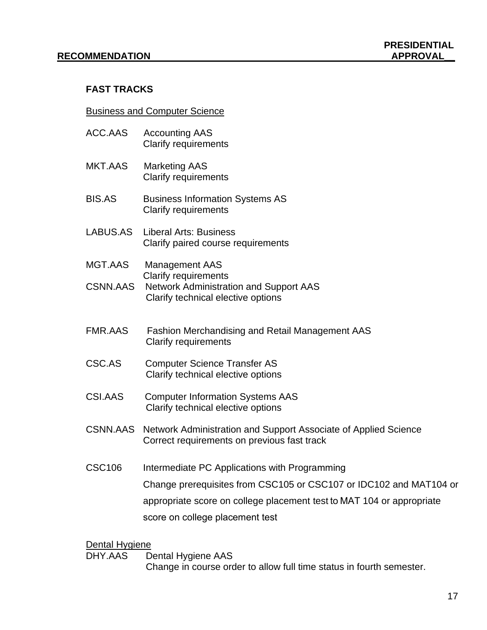# **FAST TRACKS**

# Business and Computer Science

| ACC.AAS         | <b>Accounting AAS</b><br><b>Clarify requirements</b>                                                                                                                                                                            |
|-----------------|---------------------------------------------------------------------------------------------------------------------------------------------------------------------------------------------------------------------------------|
| MKT.AAS         | <b>Marketing AAS</b><br><b>Clarify requirements</b>                                                                                                                                                                             |
| <b>BIS.AS</b>   | <b>Business Information Systems AS</b><br><b>Clarify requirements</b>                                                                                                                                                           |
| LABUS.AS        | <b>Liberal Arts: Business</b><br>Clarify paired course requirements                                                                                                                                                             |
| MGT.AAS         | <b>Management AAS</b>                                                                                                                                                                                                           |
| <b>CSNN.AAS</b> | <b>Clarify requirements</b><br><b>Network Administration and Support AAS</b><br>Clarify technical elective options                                                                                                              |
| <b>FMR.AAS</b>  | <b>Fashion Merchandising and Retail Management AAS</b><br><b>Clarify requirements</b>                                                                                                                                           |
| CSC.AS          | <b>Computer Science Transfer AS</b><br>Clarify technical elective options                                                                                                                                                       |
| CSI.AAS         | <b>Computer Information Systems AAS</b><br>Clarify technical elective options                                                                                                                                                   |
| <b>CSNN.AAS</b> | Network Administration and Support Associate of Applied Science<br>Correct requirements on previous fast track                                                                                                                  |
| <b>CSC106</b>   | Intermediate PC Applications with Programming<br>Change prerequisites from CSC105 or CSC107 or IDC102 and MAT104 or<br>appropriate score on college placement test to MAT 104 or appropriate<br>score on college placement test |

Dental Hygiene<br>DHY.AAS D Dental Hygiene AAS Change in course order to allow full time status in fourth semester.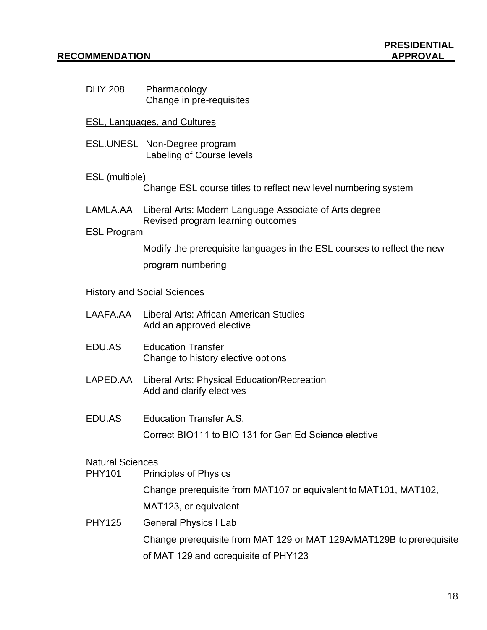DHY 208 Pharmacology Change in pre-requisites

# ESL, Languages, and Cultures

ESL.UNESL Non-Degree program Labeling of Course levels

# ESL (multiple)

Change ESL course titles to reflect new level numbering system

LAMLA.AA Liberal Arts: Modern Language Associate of Arts degree Revised program learning outcomes

# ESL Program

Modify the prerequisite languages in the ESL courses to reflect the new program numbering 

### History and Social Sciences

|        | LAAFA.AA     Liberal Arts: African-American Studies<br>Add an approved elective   |
|--------|-----------------------------------------------------------------------------------|
| EDU.AS | <b>Education Transfer</b><br>Change to history elective options                   |
|        | LAPED.AA Liberal Arts: Physical Education/Recreation<br>Add and clarify electives |
| EDU.AS | Education Transfer A.S.                                                           |

Correct BIO111 to BIO 131 for Gen Ed Science elective 

## Natural Sciences

PHY101 Principles of Physics

Change prerequisite from MAT107 or equivalent to MAT101, MAT102, MAT123, or equivalent 

PHY125 General Physics I Lab  Change prerequisite from MAT 129 or MAT 129A/MAT129B to prerequisite of MAT 129 and corequisite of PHY123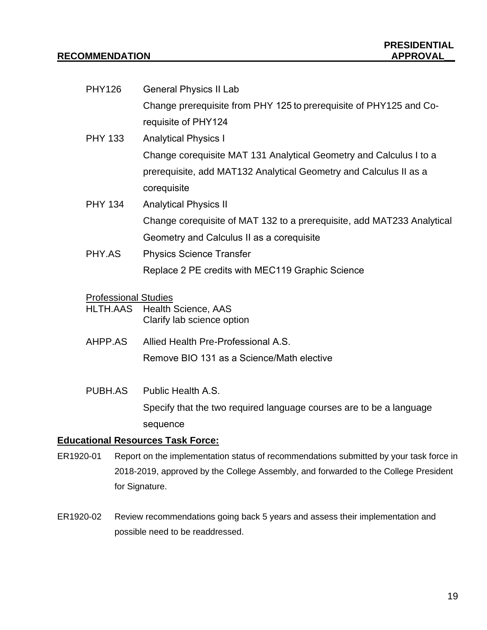| <b>PHY126</b>                                  | <b>General Physics II Lab</b>                                          |
|------------------------------------------------|------------------------------------------------------------------------|
|                                                | Change prerequisite from PHY 125 to prerequisite of PHY125 and Co-     |
|                                                | requisite of PHY124                                                    |
| <b>PHY 133</b>                                 | <b>Analytical Physics I</b>                                            |
|                                                | Change corequisite MAT 131 Analytical Geometry and Calculus I to a     |
|                                                | prerequisite, add MAT132 Analytical Geometry and Calculus II as a      |
|                                                | corequisite                                                            |
| <b>PHY 134</b>                                 | <b>Analytical Physics II</b>                                           |
|                                                | Change corequisite of MAT 132 to a prerequisite, add MAT233 Analytical |
|                                                | Geometry and Calculus II as a corequisite                              |
| PHY.AS                                         | <b>Physics Science Transfer</b>                                        |
|                                                | Replace 2 PE credits with MEC119 Graphic Science                       |
|                                                |                                                                        |
| <b>Professional Studies</b><br><b>HLTH.AAS</b> | <b>Health Science, AAS</b>                                             |
|                                                | Clarify lab science option                                             |
| AHPP.AS                                        | Allied Health Pre-Professional A.S.                                    |
|                                                | Remove BIO 131 as a Science/Math elective                              |
|                                                |                                                                        |
| PUBH.AS                                        | Public Health A.S.                                                     |
|                                                | Specify that the two required language courses are to be a language    |
|                                                |                                                                        |

sequence  

# **Educational Resources Task Force:**

- ER1920-01 Report on the implementation status of recommendations submitted by your task force in 2018-2019, approved by the College Assembly, and forwarded to the College President for Signature.
- ER1920-02 Review recommendations going back 5 years and assess their implementation and possible need to be readdressed.